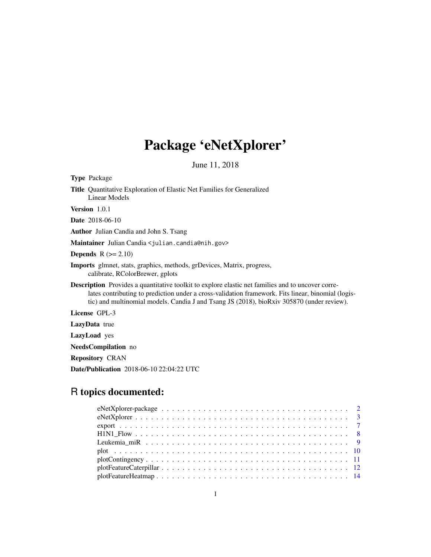# Package 'eNetXplorer'

June 11, 2018

Type Package Title Quantitative Exploration of Elastic Net Families for Generalized Linear Models Version 1.0.1 Date 2018-06-10 Author Julian Candia and John S. Tsang Maintainer Julian Candia <julian.candia@nih.gov> **Depends**  $R$  ( $>= 2.10$ ) Imports glmnet, stats, graphics, methods, grDevices, Matrix, progress, calibrate, RColorBrewer, gplots Description Provides a quantitative toolkit to explore elastic net families and to uncover corre-

lates contributing to prediction under a cross-validation framework. Fits linear, binomial (logistic) and multinomial models. Candia J and Tsang JS (2018), bioRxiv 305870 (under review).

License GPL-3

LazyData true

LazyLoad yes

NeedsCompilation no

Repository CRAN

Date/Publication 2018-06-10 22:04:22 UTC

## R topics documented: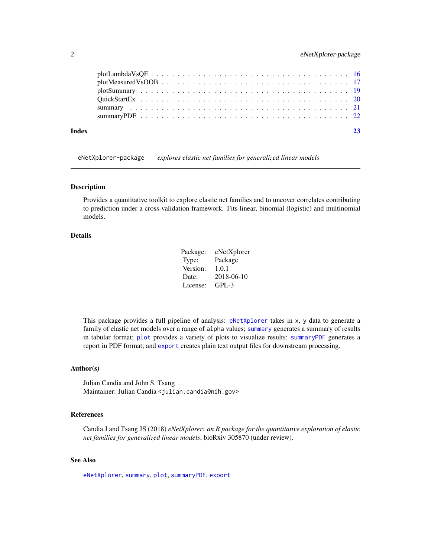<span id="page-1-0"></span>

| Index |  |
|-------|--|
|       |  |
|       |  |
|       |  |
|       |  |
|       |  |
|       |  |

eNetXplorer-package *explores elastic net families for generalized linear models*

## Description

Provides a quantitative toolkit to explore elastic net families and to uncover correlates contributing to prediction under a cross-validation framework. Fits linear, binomial (logistic) and multinomial models.

## Details

| Package: | eNetXplorer |
|----------|-------------|
| Type:    | Package     |
| Version: | 1.0.1       |
| Date:    | 2018-06-10  |
| License: | GPL-3       |

This package provides a full pipeline of analysis: [eNetXplorer](#page-2-1) takes in x, y data to generate a family of elastic net models over a range of alpha values; [summary](#page-20-1) generates a summary of results in tabular format; [plot](#page-9-1) provides a variety of plots to visualize results; [summaryPDF](#page-21-1) generates a report in PDF format; and [export](#page-6-1) creates plain text output files for downstream processing.

## Author(s)

Julian Candia and John S. Tsang Maintainer: Julian Candia <julian.candia@nih.gov>

## References

Candia J and Tsang JS (2018) *eNetXplorer: an R package for the quantitative exploration of elastic net families for generalized linear models*, bioRxiv 305870 (under review).

#### See Also

[eNetXplorer](#page-2-1), [summary](#page-20-1), [plot](#page-9-1), [summaryPDF](#page-21-1), [export](#page-6-1)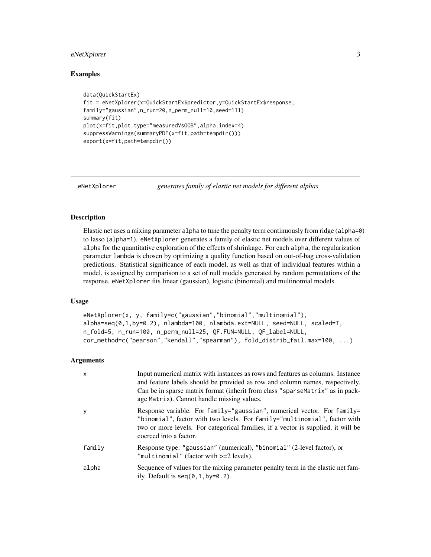## <span id="page-2-0"></span>eNetXplorer 3

#### Examples

```
data(QuickStartEx)
fit = eNetXplorer(x=QuickStartEx$predictor,y=QuickStartEx$response,
family="gaussian",n_run=20,n_perm_null=10,seed=111)
summary(fit)
plot(x=fit,plot.type="measuredVsOOB",alpha.index=4)
suppressWarnings(summaryPDF(x=fit,path=tempdir()))
export(x=fit,path=tempdir())
```
<span id="page-2-1"></span>

eNetXplorer *generates family of elastic net models for different alphas*

#### Description

Elastic net uses a mixing parameter alpha to tune the penalty term continuously from ridge (alpha=0) to lasso (alpha=1). eNetXplorer generates a family of elastic net models over different values of alpha for the quantitative exploration of the effects of shrinkage. For each alpha, the regularization parameter lambda is chosen by optimizing a quality function based on out-of-bag cross-validation predictions. Statistical significance of each model, as well as that of individual features within a model, is assigned by comparison to a set of null models generated by random permutations of the response. eNetXplorer fits linear (gaussian), logistic (binomial) and multinomial models.

#### Usage

```
eNetXplorer(x, y, family=c("gaussian","binomial","multinomial"),
alpha=seq(0,1,by=0.2), nlambda=100, nlambda.ext=NULL, seed=NULL, scaled=T,
n_fold=5, n_run=100, n_perm_null=25, QF.FUN=NULL, QF_label=NULL,
cor_method=c("pearson","kendall","spearman"), fold_distrib_fail.max=100, ...)
```

| $\mathsf{x}$ | Input numerical matrix with instances as rows and features as columns. Instance<br>and feature labels should be provided as row and column names, respectively.<br>Can be in sparse matrix format (inherit from class "sparse Matrix" as in pack-<br>age Matrix). Cannot handle missing values. |
|--------------|-------------------------------------------------------------------------------------------------------------------------------------------------------------------------------------------------------------------------------------------------------------------------------------------------|
| y            | Response variable. For family="gaussian", numerical vector. For family=<br>"binomial", factor with two levels. For family="multinomial", factor with<br>two or more levels. For categorical families, if a vector is supplied, it will be<br>coerced into a factor.                             |
| family       | Response type: "gaussian" (numerical), "binomial" (2-level factor), or<br>"multinomial" (factor with >=2 levels).                                                                                                                                                                               |
| alpha        | Sequence of values for the mixing parameter penalty term in the elastic net fam-<br>ily. Default is $seq(0, 1, by=0.2)$ .                                                                                                                                                                       |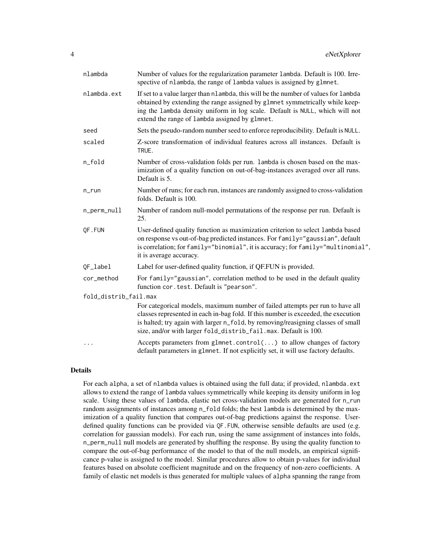| nlambda               | Number of values for the regularization parameter lambda. Default is 100. Irre-<br>spective of nlambda, the range of lambda values is assigned by glmnet.                                                                                                                                                                  |
|-----------------------|----------------------------------------------------------------------------------------------------------------------------------------------------------------------------------------------------------------------------------------------------------------------------------------------------------------------------|
| nlambda.ext           | If set to a value larger than nlambda, this will be the number of values for lambda<br>obtained by extending the range assigned by glmnet symmetrically while keep-<br>ing the lambda density uniform in log scale. Default is NULL, which will not<br>extend the range of lambda assigned by glmnet.                      |
| seed                  | Sets the pseudo-random number seed to enforce reproducibility. Default is NULL.                                                                                                                                                                                                                                            |
| scaled                | Z-score transformation of individual features across all instances. Default is<br>TRUE.                                                                                                                                                                                                                                    |
| n_fold                | Number of cross-validation folds per run. Lambda is chosen based on the max-<br>imization of a quality function on out-of-bag-instances averaged over all runs.<br>Default is 5.                                                                                                                                           |
| $n$ _run              | Number of runs; for each run, instances are randomly assigned to cross-validation<br>folds. Default is 100.                                                                                                                                                                                                                |
| n_perm_null           | Number of random null-model permutations of the response per run. Default is<br>25.                                                                                                                                                                                                                                        |
| QF.FUN                | User-defined quality function as maximization criterion to select lambda based<br>on response vs out-of-bag predicted instances. For family="gaussian", default<br>is correlation; for family="binomial", it is accuracy; for family="multinomial",<br>it is average accuracy.                                             |
| QF_label              | Label for user-defined quality function, if QF.FUN is provided.                                                                                                                                                                                                                                                            |
| cor_method            | For family="gaussian", correlation method to be used in the default quality<br>function cor.test. Default is "pearson".                                                                                                                                                                                                    |
| fold_distrib_fail.max |                                                                                                                                                                                                                                                                                                                            |
|                       | For categorical models, maximum number of failed attempts per run to have all<br>classes represented in each in-bag fold. If this number is exceeded, the execution<br>is halted; try again with larger n_fold, by removing/reasigning classes of small<br>size, and/or with larger fold_distrib_fail.max. Default is 100. |
|                       | Accepts parameters from glmnet.control() to allow changes of factory<br>default parameters in g1mnet. If not explicitly set, it will use factory defaults.                                                                                                                                                                 |

#### Details

For each alpha, a set of nlambda values is obtained using the full data; if provided, nlambda.ext allows to extend the range of lambda values symmetrically while keeping its density uniform in log scale. Using these values of lambda, elastic net cross-validation models are generated for n\_run random assignments of instances among n\_fold folds; the best lambda is determined by the maximization of a quality function that compares out-of-bag predictions against the response. Userdefined quality functions can be provided via QF.FUN, otherwise sensible defaults are used (e.g. correlation for gaussian models). For each run, using the same assignment of instances into folds, n\_perm\_null null models are generated by shuffling the response. By using the quality function to compare the out-of-bag performance of the model to that of the null models, an empirical significance p-value is assigned to the model. Similar procedures allow to obtain p-values for individual features based on absolute coefficient magnitude and on the frequency of non-zero coefficients. A family of elastic net models is thus generated for multiple values of alpha spanning the range from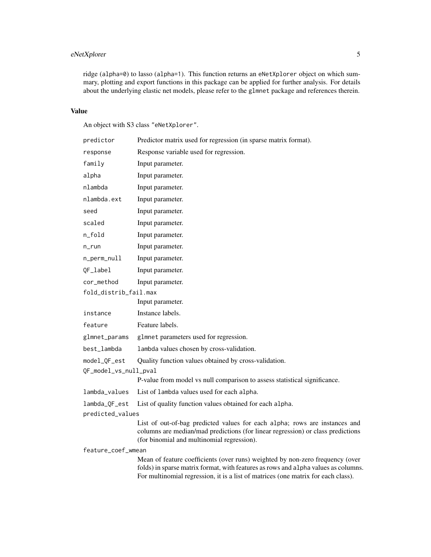## eNetXplorer 5

ridge (alpha=0) to lasso (alpha=1). This function returns an eNetXplorer object on which summary, plotting and export functions in this package can be applied for further analysis. For details about the underlying elastic net models, please refer to the glmnet package and references therein.

#### Value

An object with S3 class "eNetXplorer".

| predictor             | Predictor matrix used for regression (in sparse matrix format).                                                                                                                                                                                          |
|-----------------------|----------------------------------------------------------------------------------------------------------------------------------------------------------------------------------------------------------------------------------------------------------|
| response              | Response variable used for regression.                                                                                                                                                                                                                   |
| family                | Input parameter.                                                                                                                                                                                                                                         |
| alpha                 | Input parameter.                                                                                                                                                                                                                                         |
| nlambda               | Input parameter.                                                                                                                                                                                                                                         |
| nlambda.ext           | Input parameter.                                                                                                                                                                                                                                         |
| seed                  | Input parameter.                                                                                                                                                                                                                                         |
| scaled                | Input parameter.                                                                                                                                                                                                                                         |
| n_fold                | Input parameter.                                                                                                                                                                                                                                         |
| n_run                 | Input parameter.                                                                                                                                                                                                                                         |
| n_perm_null           | Input parameter.                                                                                                                                                                                                                                         |
| QF_label              | Input parameter.                                                                                                                                                                                                                                         |
| cor_method            | Input parameter.                                                                                                                                                                                                                                         |
| fold_distrib_fail.max |                                                                                                                                                                                                                                                          |
|                       | Input parameter.                                                                                                                                                                                                                                         |
| instance              | Instance labels.                                                                                                                                                                                                                                         |
| feature               | Feature labels.                                                                                                                                                                                                                                          |
| glmnet_params         | glmnet parameters used for regression.                                                                                                                                                                                                                   |
| best_lambda           | lambda values chosen by cross-validation.                                                                                                                                                                                                                |
| model_QF_est          | Quality function values obtained by cross-validation.                                                                                                                                                                                                    |
| QF_model_vs_null_pval |                                                                                                                                                                                                                                                          |
|                       | P-value from model vs null comparison to assess statistical significance.                                                                                                                                                                                |
| lambda_values         | List of lambda values used for each alpha.                                                                                                                                                                                                               |
| lambda_QF_est         | List of quality function values obtained for each alpha.                                                                                                                                                                                                 |
| predicted_values      |                                                                                                                                                                                                                                                          |
|                       | List of out-of-bag predicted values for each alpha; rows are instances and<br>columns are median/mad predictions (for linear regression) or class predictions<br>(for binomial and multinomial regression).                                              |
| feature_coef_wmean    |                                                                                                                                                                                                                                                          |
|                       | Mean of feature coefficients (over runs) weighted by non-zero frequency (over<br>folds) in sparse matrix format, with features as rows and alpha values as columns.<br>For multinomial regression, it is a list of matrices (one matrix for each class). |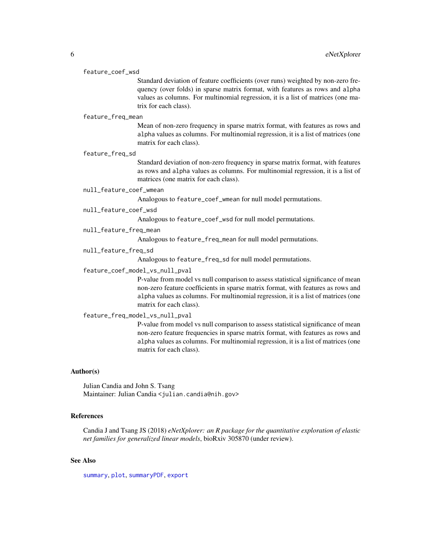#### <span id="page-5-0"></span>feature\_coef\_wsd

Standard deviation of feature coefficients (over runs) weighted by non-zero frequency (over folds) in sparse matrix format, with features as rows and alpha values as columns. For multinomial regression, it is a list of matrices (one matrix for each class).

#### feature\_freq\_mean

Mean of non-zero frequency in sparse matrix format, with features as rows and alpha values as columns. For multinomial regression, it is a list of matrices (one matrix for each class).

#### feature\_freq\_sd

Standard deviation of non-zero frequency in sparse matrix format, with features as rows and alpha values as columns. For multinomial regression, it is a list of matrices (one matrix for each class).

#### null\_feature\_coef\_wmean

Analogous to feature\_coef\_wmean for null model permutations.

#### null\_feature\_coef\_wsd

Analogous to feature\_coef\_wsd for null model permutations.

null\_feature\_freq\_mean

Analogous to feature\_freq\_mean for null model permutations.

#### null\_feature\_freq\_sd

Analogous to feature\_freq\_sd for null model permutations.

#### feature\_coef\_model\_vs\_null\_pval

P-value from model vs null comparison to assess statistical significance of mean non-zero feature coefficients in sparse matrix format, with features as rows and alpha values as columns. For multinomial regression, it is a list of matrices (one matrix for each class).

#### feature\_freq\_model\_vs\_null\_pval

P-value from model vs null comparison to assess statistical significance of mean non-zero feature frequencies in sparse matrix format, with features as rows and alpha values as columns. For multinomial regression, it is a list of matrices (one matrix for each class).

#### Author(s)

Julian Candia and John S. Tsang Maintainer: Julian Candia <julian.candia@nih.gov>

## References

Candia J and Tsang JS (2018) *eNetXplorer: an R package for the quantitative exploration of elastic net families for generalized linear models*, bioRxiv 305870 (under review).

#### See Also

[summary](#page-20-1), [plot](#page-9-1), [summaryPDF](#page-21-1), [export](#page-6-1)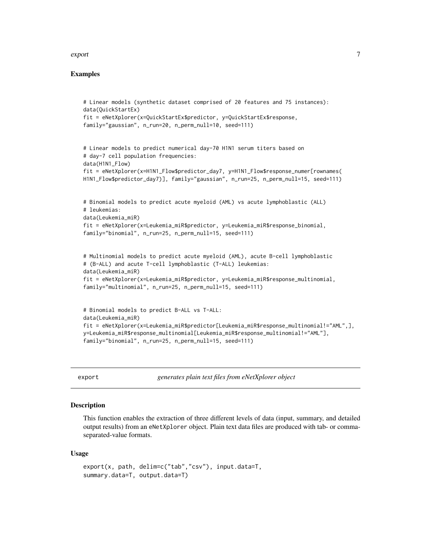#### <span id="page-6-0"></span>export 7 and 2008 and 2008 and 2008 and 2008 and 2008 and 2008 and 2008 and 2008 and 2008 and 2008 and 2008 and 2008 and 2008 and 2008 and 2008 and 2008 and 2008 and 2008 and 2008 and 2008 and 2008 and 2008 and 2008 and 20

#### Examples

```
# Linear models (synthetic dataset comprised of 20 features and 75 instances):
data(QuickStartEx)
fit = eNetXplorer(x=QuickStartEx$predictor, y=QuickStartEx$response,
family="gaussian", n_run=20, n_perm_null=10, seed=111)
# Linear models to predict numerical day-70 H1N1 serum titers based on
# day-7 cell population frequencies:
data(H1N1_Flow)
fit = eNetXplorer(x=H1N1_Flow$predictor_day7, y=H1N1_Flow$response_numer[rownames(
H1N1_Flow$predictor_day7)], family="gaussian", n_run=25, n_perm_null=15, seed=111)
# Binomial models to predict acute myeloid (AML) vs acute lymphoblastic (ALL)
# leukemias:
data(Leukemia_miR)
fit = eNetXplorer(x=Leukemia_miR$predictor, y=Leukemia_miR$response_binomial,
family="binomial", n_run=25, n_perm_null=15, seed=111)
# Multinomial models to predict acute myeloid (AML), acute B-cell lymphoblastic
# (B-ALL) and acute T-cell lymphoblastic (T-ALL) leukemias:
data(Leukemia_miR)
fit = eNetXplorer(x=Leukemia_miR$predictor, y=Leukemia_miR$response_multinomial,
family="multinomial", n_run=25, n_perm_null=15, seed=111)
# Binomial models to predict B-ALL vs T-ALL:
data(Leukemia_miR)
fit = eNetXplorer(x=Leukemia_miR$predictor[Leukemia_miR$response_multinomial!="AML",],
y=Leukemia_miR$response_multinomial[Leukemia_miR$response_multinomial!="AML"],
family="binomial", n_run=25, n_perm_null=15, seed=111)
```
<span id="page-6-1"></span>

export *generates plain text files from eNetXplorer object*

## **Description**

This function enables the extraction of three different levels of data (input, summary, and detailed output results) from an eNetXplorer object. Plain text data files are produced with tab- or commaseparated-value formats.

#### Usage

```
export(x, path, delim=c("tab","csv"), input.data=T,
summary.data=T, output.data=T)
```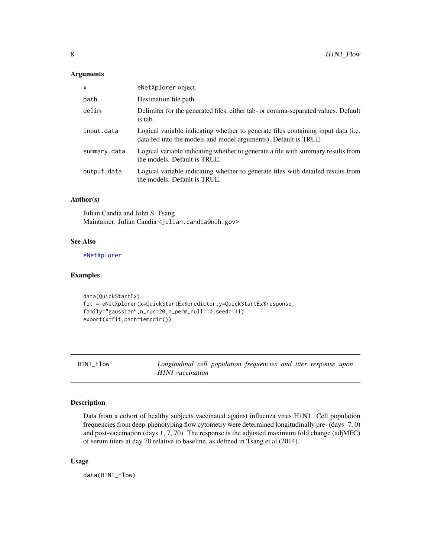## <span id="page-7-0"></span>Arguments

| Destination file path.<br>path<br>delim<br>is tab.<br>input.data<br>data fed into the models and model arguments). Default is TRUE.<br>summary.data<br>the models. Default is TRUE.<br>output.data<br>the models. Default is TRUE. | $\mathsf{x}$ | eNetXplorer object.                                                               |
|------------------------------------------------------------------------------------------------------------------------------------------------------------------------------------------------------------------------------------|--------------|-----------------------------------------------------------------------------------|
|                                                                                                                                                                                                                                    |              |                                                                                   |
|                                                                                                                                                                                                                                    |              | Delimiter for the generated files, either tab- or comma-separated values. Default |
|                                                                                                                                                                                                                                    |              | Logical variable indicating whether to generate files containing input data (i.e. |
|                                                                                                                                                                                                                                    |              | Logical variable indicating whether to generate a file with summary results from  |
|                                                                                                                                                                                                                                    |              | Logical variable indicating whether to generate files with detailed results from  |

## Author(s)

Julian Candia and John S. Tsang Maintainer: Julian Candia <julian.candia@nih.gov>

## See Also

[eNetXplorer](#page-2-1)

## Examples

```
data(QuickStartEx)
fit = eNetXplorer(x=QuickStartEx$predictor,y=QuickStartEx$response,
family="gaussian",n_run=20,n_perm_null=10,seed=111)
export(x=fit,path=tempdir())
```
H1N1\_Flow *Longitudinal cell population frequencies and titer response upon H1N1 vaccination*

## Description

Data from a cohort of healthy subjects vaccinated against influenza virus H1N1. Cell population frequencies from deep-phenotyping flow cytometry were determined longitudinally pre- (days -7, 0) and post-vaccination (days 1, 7, 70). The response is the adjusted maximum fold change (adjMFC) of serum titers at day 70 relative to baseline, as defined in Tsang et al (2014).

#### Usage

data(H1N1\_Flow)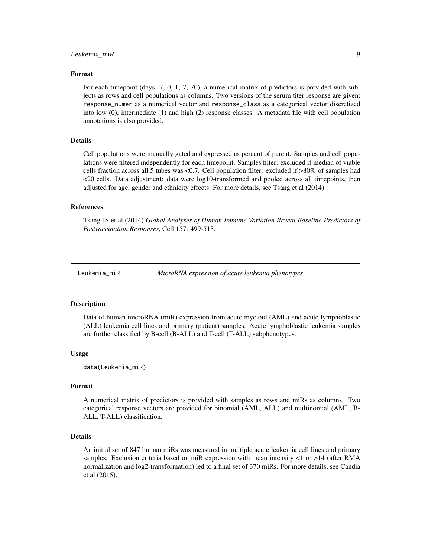#### <span id="page-8-0"></span>Leukemia\_miR 9

#### Format

For each timepoint (days -7, 0, 1, 7, 70), a numerical matrix of predictors is provided with subjects as rows and cell populations as columns. Two versions of the serum titer response are given: response\_numer as a numerical vector and response\_class as a categorical vector discretized into low (0), intermediate (1) and high (2) response classes. A metadata file with cell population annotations is also provided.

#### Details

Cell populations were manually gated and expressed as percent of parent. Samples and cell populations were filtered independently for each timepoint. Samples filter: excluded if median of viable cells fraction across all 5 tubes was <0.7. Cell population filter: excluded if >80% of samples had <20 cells. Data adjustment: data were log10-transformed and pooled across all timepoints, then adjusted for age, gender and ethnicity effects. For more details, see Tsang et al (2014).

#### References

Tsang JS et al (2014) *Global Analyses of Human Immune Variation Reveal Baseline Predictors of Postvaccination Responses*, Cell 157: 499-513.

Leukemia\_miR *MicroRNA expression of acute leukemia phenotypes*

#### Description

Data of human microRNA (miR) expression from acute myeloid (AML) and acute lymphoblastic (ALL) leukemia cell lines and primary (patient) samples. Acute lymphoblastic leukemia samples are further classified by B-cell (B-ALL) and T-cell (T-ALL) subphenotypes.

#### Usage

data(Leukemia\_miR)

## Format

A numerical matrix of predictors is provided with samples as rows and miRs as columns. Two categorical response vectors are provided for binomial (AML, ALL) and multinomial (AML, B-ALL, T-ALL) classification.

#### Details

An initial set of 847 human miRs was measured in multiple acute leukemia cell lines and primary samples. Exclusion criteria based on miR expression with mean intensity <1 or >14 (after RMA normalization and log2-transformation) led to a final set of 370 miRs. For more details, see Candia et al (2015).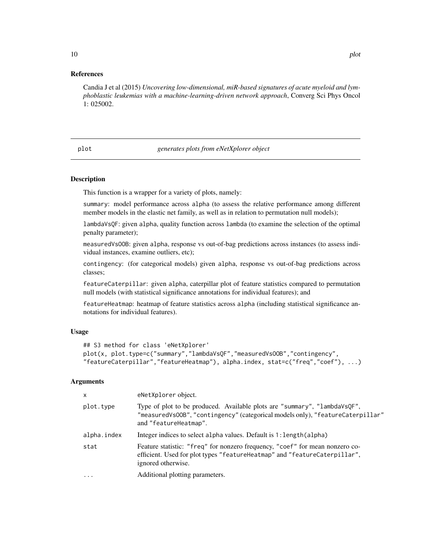#### <span id="page-9-0"></span>References

Candia J et al (2015) *Uncovering low-dimensional, miR-based signatures of acute myeloid and lymphoblastic leukemias with a machine-learning-driven network approach*, Converg Sci Phys Oncol 1: 025002.

#### <span id="page-9-1"></span>plot *generates plots from eNetXplorer object*

#### Description

This function is a wrapper for a variety of plots, namely:

summary: model performance across alpha (to assess the relative performance among different member models in the elastic net family, as well as in relation to permutation null models);

lambdaVsQF: given alpha, quality function across lambda (to examine the selection of the optimal penalty parameter);

measuredVsOOB: given alpha, response vs out-of-bag predictions across instances (to assess individual instances, examine outliers, etc);

contingency: (for categorical models) given alpha, response vs out-of-bag predictions across classes;

featureCaterpillar: given alpha, caterpillar plot of feature statistics compared to permutation null models (with statistical significance annotations for individual features); and

featureHeatmap: heatmap of feature statistics across alpha (including statistical significance annotations for individual features).

#### Usage

```
## S3 method for class 'eNetXplorer'
plot(x, plot.type=c("summary","lambdaVsQF","measuredVsOOB","contingency",
"featureCaterpillar","featureHeatmap"), alpha.index, stat=c("freq","coef"), ...)
```

| X           | eNetXplorer object.                                                                                                                                                                  |
|-------------|--------------------------------------------------------------------------------------------------------------------------------------------------------------------------------------|
| plot.type   | Type of plot to be produced. Available plots are "summary", "lambdaVsQF",<br>"measuredVs00B", "contingency" (categorical models only), "featureCaterpillar"<br>and "featureHeatmap". |
| alpha.index | Integer indices to select alpha values. Default is 1: length (alpha)                                                                                                                 |
| stat        | Feature statistic: "freq" for nonzero frequency, "coef" for mean nonzero co-<br>efficient. Used for plot types "featureHeatmap" and "featureCaterpillar",<br>ignored otherwise.      |
| $\ddotsc$   | Additional plotting parameters.                                                                                                                                                      |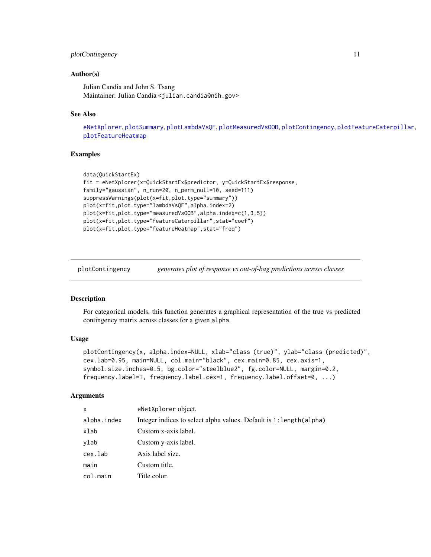## <span id="page-10-0"></span>plotContingency 11

#### Author(s)

Julian Candia and John S. Tsang Maintainer: Julian Candia <julian.candia@nih.gov>

## See Also

[eNetXplorer](#page-2-1), [plotSummary](#page-18-1), [plotLambdaVsQF](#page-15-1), [plotMeasuredVsOOB](#page-16-1), [plotContingency](#page-10-1), [plotFeatureCaterpillar](#page-11-1), [plotFeatureHeatmap](#page-13-1)

## Examples

```
data(QuickStartEx)
fit = eNetXplorer(x=QuickStartEx$predictor, y=QuickStartEx$response,
family="gaussian", n_run=20, n_perm_null=10, seed=111)
suppressWarnings(plot(x=fit,plot.type="summary"))
plot(x=fit,plot.type="lambdaVsQF",alpha.index=2)
plot(x=fit,plot.type="measuredVsOOB",alpha.index=c(1,3,5))
plot(x=fit,plot.type="featureCaterpillar",stat="coef")
plot(x=fit,plot.type="featureHeatmap",stat="freq")
```
<span id="page-10-1"></span>plotContingency *generates plot of response vs out-of-bag predictions across classes*

## **Description**

For categorical models, this function generates a graphical representation of the true vs predicted contingency matrix across classes for a given alpha.

## Usage

```
plotContingency(x, alpha.index=NULL, xlab="class (true)", ylab="class (predicted)",
cex.lab=0.95, main=NULL, col.main="black", cex.main=0.85, cex.axis=1,
symbol.size.inches=0.5, bg.color="steelblue2", fg.color=NULL, margin=0.2,
frequency.label=T, frequency.label.cex=1, frequency.label.offset=0, ...)
```

| X           | eNetXplorer object.                                                 |
|-------------|---------------------------------------------------------------------|
| alpha.index | Integer indices to select alpha values. Default is 1: length(alpha) |
| xlab        | Custom x-axis label.                                                |
| ylab        | Custom y-axis label.                                                |
| cex.lab     | Axis label size.                                                    |
| main        | Custom title.                                                       |
| col.main    | Title color.                                                        |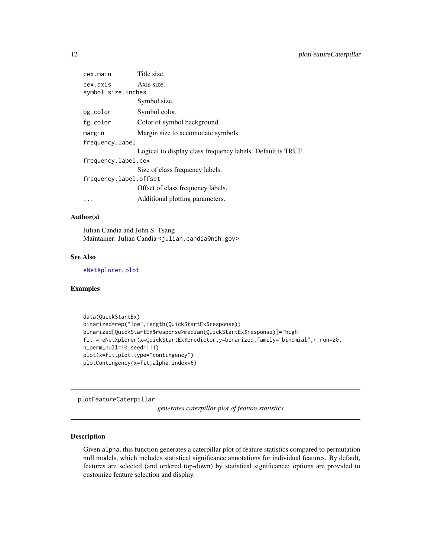<span id="page-11-0"></span>

| cex.main                       | Title size.                                                 |
|--------------------------------|-------------------------------------------------------------|
| cex.axis<br>symbol.size.inches | Axis size.                                                  |
|                                | Symbol size.                                                |
| bg.color                       | Symbol color.                                               |
| fg.color                       | Color of symbol background.                                 |
| margin                         | Margin size to accomodate symbols.                          |
| frequency.label                |                                                             |
|                                | Logical to display class frequency labels. Default is TRUE. |
| frequency.label.cex            |                                                             |
|                                | Size of class frequency labels.                             |
| frequency.label.offset         |                                                             |
|                                | Offset of class frequency labels.                           |
| $\ddots$ .                     | Additional plotting parameters.                             |

## Author(s)

Julian Candia and John S. Tsang Maintainer: Julian Candia <julian.candia@nih.gov>

#### See Also

[eNetXplorer](#page-2-1), [plot](#page-9-1)

## Examples

```
data(QuickStartEx)
binarized=rep("low",length(QuickStartEx$response))
binarized[QuickStartEx$response>median(QuickStartEx$response)]="high"
fit = eNetXplorer(x=QuickStartEx$predictor,y=binarized,family="binomial",n_run=20,
n_perm_null=10,seed=111)
plot(x=fit,plot.type="contingency")
plotContingency(x=fit,alpha.index=6)
```
<span id="page-11-1"></span>plotFeatureCaterpillar

*generates caterpillar plot of feature statistics*

#### Description

Given alpha, this function generates a caterpillar plot of feature statistics compared to permutation null models, which includes statistical significance annotations for individual features. By default, features are selected (and ordered top-down) by statistical significance; options are provided to customize feature selection and display.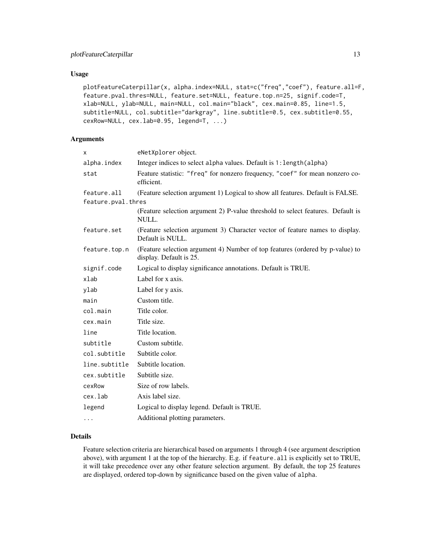## Usage

```
plotFeatureCaterpillar(x, alpha.index=NULL, stat=c("freq","coef"), feature.all=F,
feature.pval.thres=NULL, feature.set=NULL, feature.top.n=25, signif.code=T,
xlab=NULL, ylab=NULL, main=NULL, col.main="black", cex.main=0.85, line=1.5,
subtitle=NULL, col.subtitle="darkgray", line.subtitle=0.5, cex.subtitle=0.55,
cexRow=NULL, cex.lab=0.95, legend=T, ...)
```
## Arguments

| x                  | eNetXplorer object.                                                                                      |
|--------------------|----------------------------------------------------------------------------------------------------------|
| alpha.index        | Integer indices to select alpha values. Default is 1: length (alpha)                                     |
| stat               | Feature statistic: "freq" for nonzero frequency, "coef" for mean nonzero co-<br>efficient.               |
| feature.all        | (Feature selection argument 1) Logical to show all features. Default is FALSE.                           |
| feature.pval.thres |                                                                                                          |
|                    | (Feature selection argument 2) P-value threshold to select features. Default is<br>NULL.                 |
| feature.set        | (Feature selection argument 3) Character vector of feature names to display.<br>Default is NULL.         |
| feature.top.n      | (Feature selection argument 4) Number of top features (ordered by p-value) to<br>display. Default is 25. |
| signif.code        | Logical to display significance annotations. Default is TRUE.                                            |
| xlab               | Label for x axis.                                                                                        |
| ylab               | Label for y axis.                                                                                        |
| main               | Custom title.                                                                                            |
| col.main           | Title color.                                                                                             |
| cex.main           | Title size.                                                                                              |
| line               | Title location.                                                                                          |
| subtitle           | Custom subtitle.                                                                                         |
| col.subtitle       | Subtitle color.                                                                                          |
| line.subtitle      | Subtitle location.                                                                                       |
| cex.subtitle       | Subtitle size.                                                                                           |
| cexRow             | Size of row labels.                                                                                      |
| cex.lab            | Axis label size.                                                                                         |
| legend             | Logical to display legend. Default is TRUE.                                                              |
| $\cdots$           | Additional plotting parameters.                                                                          |
|                    |                                                                                                          |

#### Details

Feature selection criteria are hierarchical based on arguments 1 through 4 (see argument description above), with argument 1 at the top of the hierarchy. E.g. if feature. all is explicitly set to TRUE, it will take precedence over any other feature selection argument. By default, the top 25 features are displayed, ordered top-down by significance based on the given value of alpha.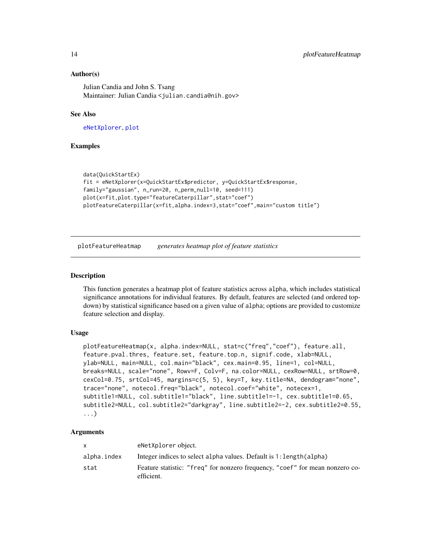## Author(s)

Julian Candia and John S. Tsang Maintainer: Julian Candia <julian.candia@nih.gov>

#### See Also

[eNetXplorer](#page-2-1), [plot](#page-9-1)

## Examples

```
data(QuickStartEx)
fit = eNetXplorer(x=QuickStartEx$predictor, y=QuickStartEx$response,
family="gaussian", n_run=20, n_perm_null=10, seed=111)
plot(x=fit,plot.type="featureCaterpillar",stat="coef")
plotFeatureCaterpillar(x=fit,alpha.index=3,stat="coef",main="custom title")
```
<span id="page-13-1"></span>plotFeatureHeatmap *generates heatmap plot of feature statistics*

#### Description

This function generates a heatmap plot of feature statistics across alpha, which includes statistical significance annotations for individual features. By default, features are selected (and ordered topdown) by statistical significance based on a given value of alpha; options are provided to customize feature selection and display.

#### Usage

```
plotFeatureHeatmap(x, alpha.index=NULL, stat=c("freq","coef"), feature.all,
feature.pval.thres, feature.set, feature.top.n, signif.code, xlab=NULL,
ylab=NULL, main=NULL, col.main="black", cex.main=0.95, line=1, col=NULL,
breaks=NULL, scale="none", Rowv=F, Colv=F, na.color=NULL, cexRow=NULL, srtRow=0,
cexCol=0.75, srtCol=45, margins=c(5, 5), key=T, key.title=NA, dendogram="none",
trace="none", notecol.freq="black", notecol.coef="white", notecex=1,
subtitle1=NULL, col.subtitle1="black", line.subtitle1=-1, cex.subtitle1=0.65,
subtitle2=NULL, col.subtitle2="darkgray", line.subtitle2=-2, cex.subtitle2=0.55,
...)
```

|             | eNetXplorer object.                                                                        |
|-------------|--------------------------------------------------------------------------------------------|
| alpha.index | Integer indices to select alpha values. Default is 1: length(alpha)                        |
| stat        | Feature statistic: "freq" for nonzero frequency, "coef" for mean nonzero co-<br>efficient. |

<span id="page-13-0"></span>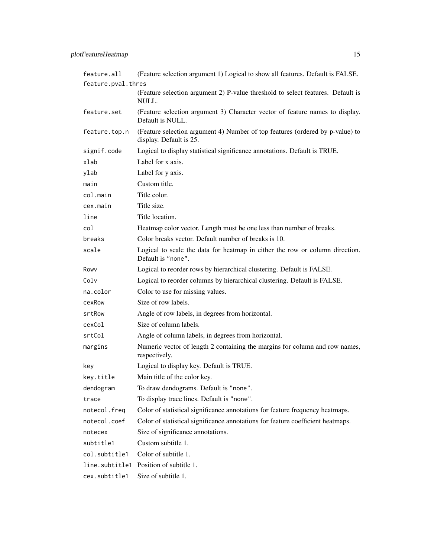| feature.all        | (Feature selection argument 1) Logical to show all features. Default is FALSE.                           |  |  |  |
|--------------------|----------------------------------------------------------------------------------------------------------|--|--|--|
| feature.pval.thres |                                                                                                          |  |  |  |
|                    | (Feature selection argument 2) P-value threshold to select features. Default is<br>NULL.                 |  |  |  |
| feature.set        | (Feature selection argument 3) Character vector of feature names to display.<br>Default is NULL.         |  |  |  |
| feature.top.n      | (Feature selection argument 4) Number of top features (ordered by p-value) to<br>display. Default is 25. |  |  |  |
| signif.code        | Logical to display statistical significance annotations. Default is TRUE.                                |  |  |  |
| xlab               | Label for x axis.                                                                                        |  |  |  |
| ylab               | Label for y axis.                                                                                        |  |  |  |
| main               | Custom title.                                                                                            |  |  |  |
| col.main           | Title color.                                                                                             |  |  |  |
| cex.main           | Title size.                                                                                              |  |  |  |
| line               | Title location.                                                                                          |  |  |  |
| col                | Heatmap color vector. Length must be one less than number of breaks.                                     |  |  |  |
| breaks             | Color breaks vector. Default number of breaks is 10.                                                     |  |  |  |
| scale              | Logical to scale the data for heatmap in either the row or column direction.<br>Default is "none".       |  |  |  |
| Rowy               | Logical to reorder rows by hierarchical clustering. Default is FALSE.                                    |  |  |  |
| Colv               | Logical to reorder columns by hierarchical clustering. Default is FALSE.                                 |  |  |  |
| na.color           | Color to use for missing values.                                                                         |  |  |  |
| cexRow             | Size of row labels.                                                                                      |  |  |  |
| srtRow             | Angle of row labels, in degrees from horizontal.                                                         |  |  |  |
| cexCol             | Size of column labels.                                                                                   |  |  |  |
| srtCol             | Angle of column labels, in degrees from horizontal.                                                      |  |  |  |
| margins            | Numeric vector of length 2 containing the margins for column and row names,<br>respectively.             |  |  |  |
| key                | Logical to display key. Default is TRUE.                                                                 |  |  |  |
| key.title          | Main title of the color key.                                                                             |  |  |  |
| dendogram          | To draw dendograms. Default is "none".                                                                   |  |  |  |
| trace              | To display trace lines. Default is "none".                                                               |  |  |  |
| notecol.freq       | Color of statistical significance annotations for feature frequency heatmaps.                            |  |  |  |
| notecol.coef       | Color of statistical significance annotations for feature coefficient heatmaps.                          |  |  |  |
| notecex            | Size of significance annotations.                                                                        |  |  |  |
| subtitle1          | Custom subtitle 1.                                                                                       |  |  |  |
| col.subtitle1      | Color of subtitle 1.                                                                                     |  |  |  |
| line.subtitle1     | Position of subtitle 1.                                                                                  |  |  |  |
| cex.subtitle1      | Size of subtitle 1.                                                                                      |  |  |  |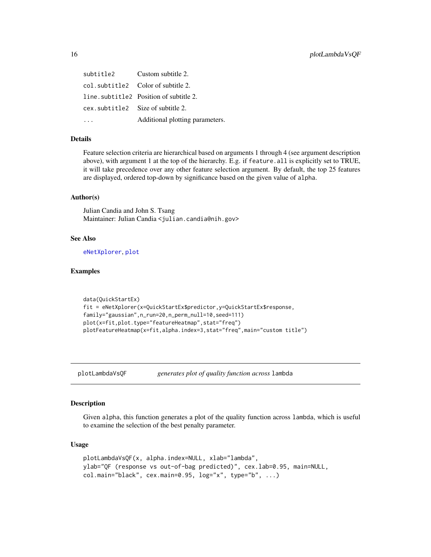<span id="page-15-0"></span>subtitle2 Custom subtitle 2. col.subtitle2 Color of subtitle 2. line.subtitle2 Position of subtitle 2. cex.subtitle2 Size of subtitle 2. ... **Additional plotting parameters.** 

#### Details

Feature selection criteria are hierarchical based on arguments 1 through 4 (see argument description above), with argument 1 at the top of the hierarchy. E.g. if feature.all is explicitly set to TRUE, it will take precedence over any other feature selection argument. By default, the top 25 features are displayed, ordered top-down by significance based on the given value of alpha.

#### Author(s)

Julian Candia and John S. Tsang Maintainer: Julian Candia <julian.candia@nih.gov>

#### See Also

[eNetXplorer](#page-2-1), [plot](#page-9-1)

#### Examples

```
data(QuickStartEx)
fit = eNetXplorer(x=QuickStartEx$predictor,y=QuickStartEx$response,
family="gaussian",n_run=20,n_perm_null=10,seed=111)
plot(x=fit,plot.type="featureHeatmap",stat="freq")
plotFeatureHeatmap(x=fit,alpha.index=3,stat="freq",main="custom title")
```
<span id="page-15-1"></span>plotLambdaVsQF *generates plot of quality function across* lambda

#### Description

Given alpha, this function generates a plot of the quality function across lambda, which is useful to examine the selection of the best penalty parameter.

#### Usage

```
plotLambdaVsQF(x, alpha.index=NULL, xlab="lambda",
ylab="QF (response vs out-of-bag predicted)", cex.lab=0.95, main=NULL,
col.main="black", cex.main=0.95, log="x", type="b", ...)
```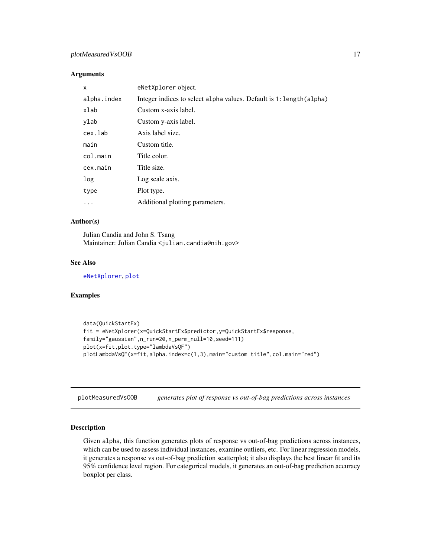## <span id="page-16-0"></span>plotMeasuredVsOOB 17

#### **Arguments**

| x           | eNetXplorer object.                                                 |
|-------------|---------------------------------------------------------------------|
| alpha.index | Integer indices to select alpha values. Default is 1: length(alpha) |
| xlab        | Custom x-axis label.                                                |
| ylab        | Custom y-axis label.                                                |
| cex.lab     | Axis label size.                                                    |
| main        | Custom title.                                                       |
| col.main    | Title color.                                                        |
| cex.main    | Title size.                                                         |
| log         | Log scale axis.                                                     |
| type        | Plot type.                                                          |
| $\ddots$    | Additional plotting parameters.                                     |

## Author(s)

Julian Candia and John S. Tsang Maintainer: Julian Candia <julian.candia@nih.gov>

## See Also

[eNetXplorer](#page-2-1), [plot](#page-9-1)

#### Examples

```
data(QuickStartEx)
fit = eNetXplorer(x=QuickStartEx$predictor,y=QuickStartEx$response,
family="gaussian",n_run=20,n_perm_null=10,seed=111)
plot(x=fit,plot.type="lambdaVsQF")
plotLambdaVsQF(x=fit,alpha.index=c(1,3),main="custom title",col.main="red")
```
<span id="page-16-1"></span>plotMeasuredVsOOB *generates plot of response vs out-of-bag predictions across instances*

#### Description

Given alpha, this function generates plots of response vs out-of-bag predictions across instances, which can be used to assess individual instances, examine outliers, etc. For linear regression models, it generates a response vs out-of-bag prediction scatterplot; it also displays the best linear fit and its 95% confidence level region. For categorical models, it generates an out-of-bag prediction accuracy boxplot per class.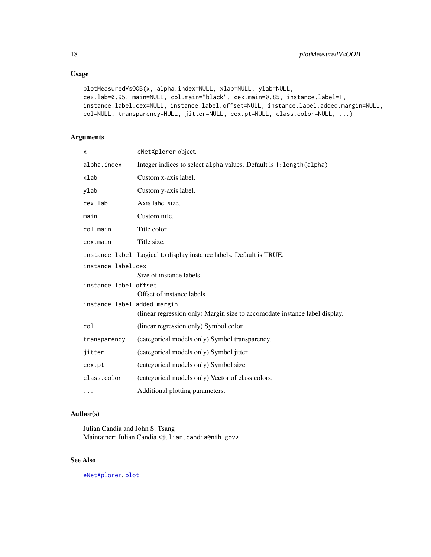## Usage

```
plotMeasuredVsOOB(x, alpha.index=NULL, xlab=NULL, ylab=NULL,
cex.lab=0.95, main=NULL, col.main="black", cex.main=0.85, instance.label=T,
instance.label.cex=NULL, instance.label.offset=NULL, instance.label.added.margin=NULL,
col=NULL, transparency=NULL, jitter=NULL, cex.pt=NULL, class.color=NULL, ...)
```
## Arguments

| x                           | eNetXplorer object.                                                        |  |
|-----------------------------|----------------------------------------------------------------------------|--|
| alpha.index                 | Integer indices to select alpha values. Default is 1: length (alpha)       |  |
| xlab                        | Custom x-axis label.                                                       |  |
| ylab                        | Custom y-axis label.                                                       |  |
| cex.lab                     | Axis label size.                                                           |  |
| main                        | Custom title.                                                              |  |
| col.main                    | Title color.                                                               |  |
| cex.main                    | Title size.                                                                |  |
|                             | instance. label Logical to display instance labels. Default is TRUE.       |  |
| instance.label.cex          |                                                                            |  |
|                             | Size of instance labels.                                                   |  |
| instance.label.offset       |                                                                            |  |
|                             | Offset of instance labels.                                                 |  |
| instance.label.added.margin |                                                                            |  |
|                             | (linear regression only) Margin size to accomodate instance label display. |  |
| col                         | (linear regression only) Symbol color.                                     |  |
| transparency                | (categorical models only) Symbol transparency.                             |  |
| jitter                      | (categorical models only) Symbol jitter.                                   |  |
| cex.pt                      | (categorical models only) Symbol size.                                     |  |
| class.color                 | (categorical models only) Vector of class colors.                          |  |
| $\cdots$                    | Additional plotting parameters.                                            |  |

## Author(s)

Julian Candia and John S. Tsang Maintainer: Julian Candia <julian.candia@nih.gov>

## See Also

[eNetXplorer](#page-2-1), [plot](#page-9-1)

<span id="page-17-0"></span>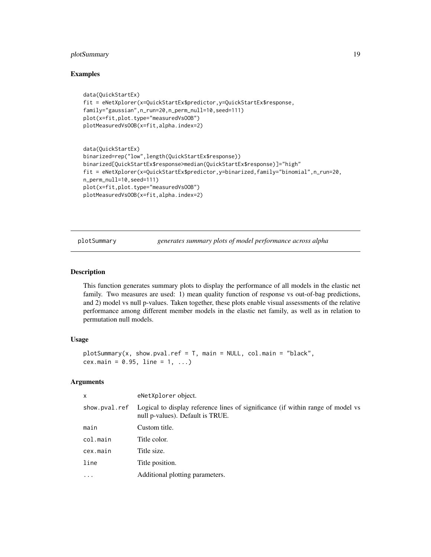## <span id="page-18-0"></span>plotSummary 19

#### Examples

```
data(QuickStartEx)
fit = eNetXplorer(x=QuickStartEx$predictor,y=QuickStartEx$response,
family="gaussian",n_run=20,n_perm_null=10,seed=111)
plot(x=fit,plot.type="measuredVsOOB")
plotMeasuredVsOOB(x=fit,alpha.index=2)
```

```
data(QuickStartEx)
binarized=rep("low",length(QuickStartEx$response))
binarized[QuickStartEx$response>median(QuickStartEx$response)]="high"
fit = eNetXplorer(x=QuickStartEx$predictor,y=binarized,family="binomial",n_run=20,
n_perm_null=10,seed=111)
plot(x=fit,plot.type="measuredVsOOB")
plotMeasuredVsOOB(x=fit,alpha.index=2)
```
<span id="page-18-1"></span>plotSummary *generates summary plots of model performance across alpha*

## Description

This function generates summary plots to display the performance of all models in the elastic net family. Two measures are used: 1) mean quality function of response vs out-of-bag predictions, and 2) model vs null p-values. Taken together, these plots enable visual assessments of the relative performance among different member models in the elastic net family, as well as in relation to permutation null models.

#### Usage

```
plotSummary(x, show.pval.ref = T, main = NULL, col.main = "black",
cex.main = 0.95, line = 1, ...)
```

| Logical to display reference lines of significance (if within range of model vs |
|---------------------------------------------------------------------------------|
|                                                                                 |
|                                                                                 |
|                                                                                 |
|                                                                                 |
|                                                                                 |
|                                                                                 |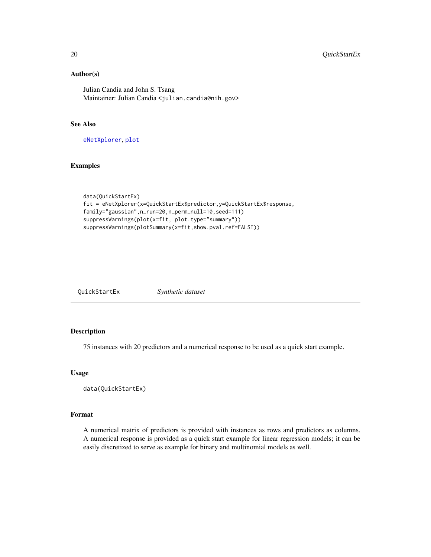## Author(s)

Julian Candia and John S. Tsang Maintainer: Julian Candia <julian.candia@nih.gov>

## See Also

[eNetXplorer](#page-2-1), [plot](#page-9-1)

## Examples

```
data(QuickStartEx)
fit = eNetXplorer(x=QuickStartEx$predictor,y=QuickStartEx$response,
family="gaussian",n_run=20,n_perm_null=10,seed=111)
suppressWarnings(plot(x=fit, plot.type="summary"))
suppressWarnings(plotSummary(x=fit,show.pval.ref=FALSE))
```

| QuickStartEx | Synthetic dataset |
|--------------|-------------------|
|--------------|-------------------|

## Description

75 instances with 20 predictors and a numerical response to be used as a quick start example.

#### Usage

```
data(QuickStartEx)
```
## Format

A numerical matrix of predictors is provided with instances as rows and predictors as columns. A numerical response is provided as a quick start example for linear regression models; it can be easily discretized to serve as example for binary and multinomial models as well.

<span id="page-19-0"></span>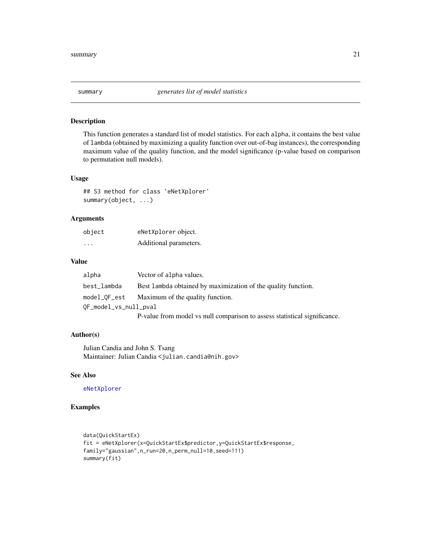<span id="page-20-1"></span><span id="page-20-0"></span>

## Description

This function generates a standard list of model statistics. For each alpha, it contains the best value of lambda (obtained by maximizing a quality function over out-of-bag instances), the corresponding maximum value of the quality function, and the model significance (p-value based on comparison to permutation null models).

## Usage

## S3 method for class 'eNetXplorer' summary(object, ...)

#### Arguments

| object                  | eNetXplorer object.    |
|-------------------------|------------------------|
| $\cdot$ $\cdot$ $\cdot$ | Additional parameters. |

#### Value

| alpha                 | Vector of alpha values.                                                   |
|-----------------------|---------------------------------------------------------------------------|
| best_lambda           | Best lambda obtained by maximization of the quality function.             |
| model_OF_est          | Maximum of the quality function.                                          |
| OF_model_vs_null_pval |                                                                           |
|                       | P-value from model vs null comparison to assess statistical significance. |

## Author(s)

Julian Candia and John S. Tsang Maintainer: Julian Candia <julian.candia@nih.gov>

#### See Also

[eNetXplorer](#page-2-1)

## Examples

```
data(QuickStartEx)
fit = eNetXplorer(x=QuickStartEx$predictor,y=QuickStartEx$response,
family="gaussian",n_run=20,n_perm_null=10,seed=111)
summary(fit)
```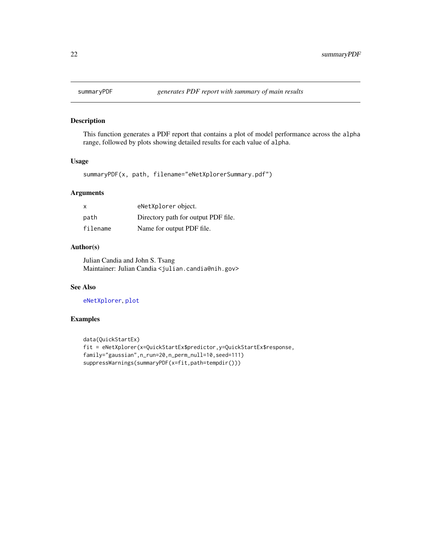<span id="page-21-1"></span><span id="page-21-0"></span>

## Description

This function generates a PDF report that contains a plot of model performance across the alpha range, followed by plots showing detailed results for each value of alpha.

#### Usage

summaryPDF(x, path, filename="eNetXplorerSummary.pdf")

#### Arguments

| $\mathsf{x}$ | eNetXplorer object.                 |
|--------------|-------------------------------------|
| path         | Directory path for output PDF file. |
| filename     | Name for output PDF file.           |

## Author(s)

Julian Candia and John S. Tsang Maintainer: Julian Candia <julian.candia@nih.gov>

## See Also

[eNetXplorer](#page-2-1), [plot](#page-9-1)

#### Examples

```
data(QuickStartEx)
fit = eNetXplorer(x=QuickStartEx$predictor,y=QuickStartEx$response,
family="gaussian",n_run=20,n_perm_null=10,seed=111)
suppressWarnings(summaryPDF(x=fit,path=tempdir()))
```